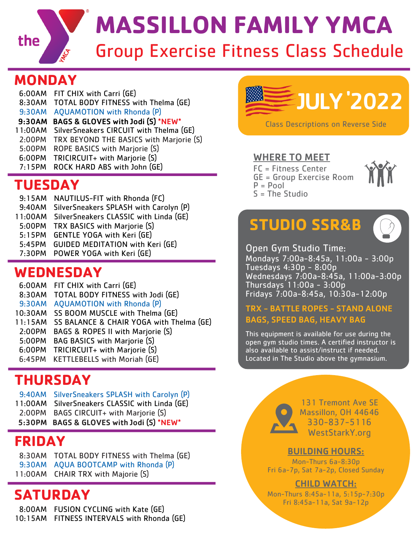

# Group Exercise Fitness Class Schedule **MASSILLON FAMILY YMCA**

## **MONDAY**

| TOTAL BODY FITNESS with Thelma (GE)<br>8:30AM<br><b>AQUAMOTION</b> with Rhonda (P)<br>9:30AM<br>BAGS & GLOVES with Jodi (S) *NEW*<br>9:30AM<br>SilverSneakers CIRCUIT with Thelma (GE)<br>11:00AM<br>TRX BEYOND THE BASICS with Marjorie (S)<br>2:00PM<br>ROPE BASICS with Marjorie (S)<br>5:00PM<br>TRICIRCUIT+ with Marjorie (S)<br>6:00PM<br>ROCK HARD ABS with John (GE)<br>7:15PM |
|----------------------------------------------------------------------------------------------------------------------------------------------------------------------------------------------------------------------------------------------------------------------------------------------------------------------------------------------------------------------------------------|
|----------------------------------------------------------------------------------------------------------------------------------------------------------------------------------------------------------------------------------------------------------------------------------------------------------------------------------------------------------------------------------------|

# **TUESDAY**

- 9:15AM NAUTILUS-FIT with Rhonda (FC)
- 9:40AM SilverSneakers SPLASH with Carolyn (P)
- 11:00AM SilverSneakers CLASSIC with Linda (GE)
- 5:00PM TRX BASICS with Marjorie (S)
- 5:15PM GENTLE YOGA with Keri (GE)
- 5:45PM GUIDED MEDITATION with Keri (GE)
- 7:30PM POWER YOGA with Keri (GE)

## **WEDNESDAY**

- 6:00AM FIT CHIX with Carri (GE)
- 8:30AM TOTAL BODY FITNESS with Jodi (GE)
- 9:30AM AQUAMOTION with Rhonda (P)
- 10:30AM SS BOOM MUSCLE with Thelma (GE)
- 11:15AM SS BALANCE & CHAIR YOGA with Thelma (GE)
- 2:00PM BAGS & ROPES II with Marjorie (S)
- 5:00PM BAG BASICS with Marjorie (S)
- 6:00PM TRICIRCUIT+ with Marjorie (S)
- 6:45PM KETTLEBELLS with Moriah (GE)

# **THURSDAY**

- 9:40AM SilverSneakers SPLASH with Carolyn (P)
- 11:00AM SilverSneakers CLASSIC with Linda (GE)
- 2:00PM BAGS CIRCUIT+ with Marjorie (S)
- 5:30PM BAGS & GLOVES with Jodi (S) \*NEW\*

# **FRIDAY**

8:30AM TOTAL BODY FITNESS with Thelma (GE) 9:30AM AQUA BOOTCAMP with Rhonda (P) 11:00AM CHAIR TRX with Majorie (S)

# **SATURDAY**

 8:00AM FUSION CYCLING with Kate (GE) 10:15AM FITNESS INTERVALS with Rhonda (GE)



### WHERE TO MEET

 $S = The Studio$ 

FC = Fitness Center GE = Group Exercise Room  $P = Pool$ 



# **STUDIO SSR&B**



Open Gym Studio Time: Mondays 7:00a-8:45a, 11:00a - 3:00p Tuesdays 4:30p - 8:00p Wednesdays 7:00a-8:45a, 11:00a-3:00p Thursdays 11:00a - 3:00p Fridays 7:00a-8:45a, 10:30a-12:00p

### TRX - BATTLE ROPES - STAND ALONE BAGS, SPEED BAG, HEAVY BAG

This equipment is available for use during the open gym studio times. A certified instructor is also available to assist/instruct if needed. Located in The Studio above the gymnasium.



131 Tremont Ave SE Massillon, OH 44646 330-837-5116 WestStarkY.org

### BUILDING HOURS:

Mon-Thurs 6a-8:30p Fri 6a-7p, Sat 7a-2p, Closed Sunday

### CHILD WATCH:

Mon-Thurs 8:45a-11a, 5:15p-7:30p Fri 8:45a-11a, Sat 9a-12p